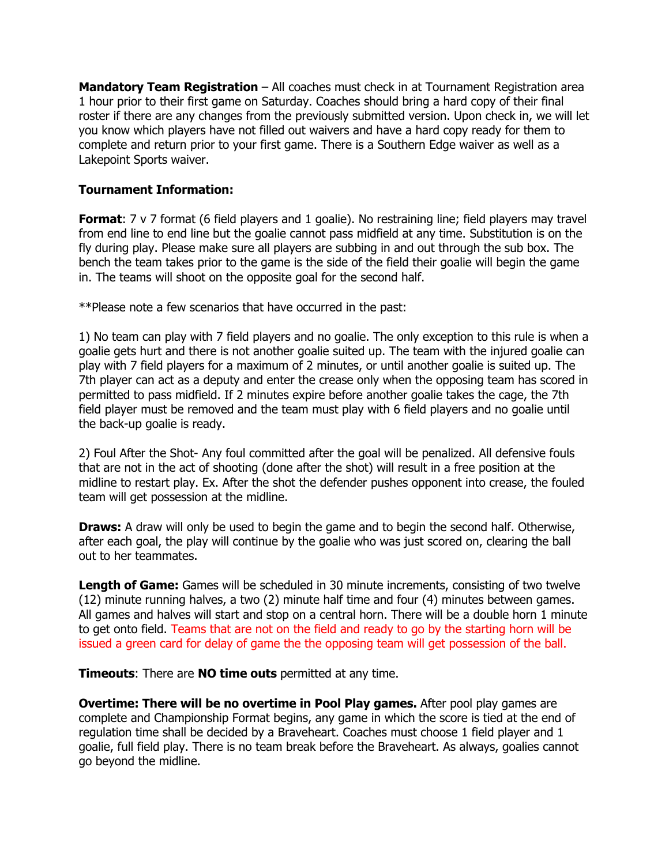**Mandatory Team Registration** – All coaches must check in at Tournament Registration area 1 hour prior to their first game on Saturday. Coaches should bring a hard copy of their final roster if there are any changes from the previously submitted version. Upon check in, we will let you know which players have not filled out waivers and have a hard copy ready for them to complete and return prior to your first game. There is a Southern Edge waiver as well as a Lakepoint Sports waiver.

### **Tournament Information:**

**Format:** 7 v 7 format (6 field players and 1 goalie). No restraining line: field players may travel from end line to end line but the goalie cannot pass midfield at any time. Substitution is on the fly during play. Please make sure all players are subbing in and out through the sub box. The bench the team takes prior to the game is the side of the field their goalie will begin the game in. The teams will shoot on the opposite goal for the second half.

\*\*Please note a few scenarios that have occurred in the past:

1) No team can play with 7 field players and no goalie. The only exception to this rule is when a goalie gets hurt and there is not another goalie suited up. The team with the injured goalie can play with 7 field players for a maximum of 2 minutes, or until another goalie is suited up. The 7th player can act as a deputy and enter the crease only when the opposing team has scored in permitted to pass midfield. If 2 minutes expire before another goalie takes the cage, the 7th field player must be removed and the team must play with 6 field players and no goalie until the back-up goalie is ready.

2) Foul After the Shot- Any foul committed after the goal will be penalized. All defensive fouls that are not in the act of shooting (done after the shot) will result in a free position at the midline to restart play. Ex. After the shot the defender pushes opponent into crease, the fouled team will get possession at the midline.

**Draws:** A draw will only be used to begin the game and to begin the second half. Otherwise, after each goal, the play will continue by the goalie who was just scored on, clearing the ball out to her teammates.

**Length of Game:** Games will be scheduled in 30 minute increments, consisting of two twelve (12) minute running halves, a two (2) minute half time and four (4) minutes between games. All games and halves will start and stop on a central horn. There will be a double horn 1 minute to get onto field. Teams that are not on the field and ready to go by the starting horn will be issued a green card for delay of game the the opposing team will get possession of the ball.

**Timeouts**: There are **NO time outs** permitted at any time.

**Overtime: There will be no overtime in Pool Play games.** After pool play games are complete and Championship Format begins, any game in which the score is tied at the end of regulation time shall be decided by a Braveheart. Coaches must choose 1 field player and 1 goalie, full field play. There is no team break before the Braveheart. As always, goalies cannot go beyond the midline.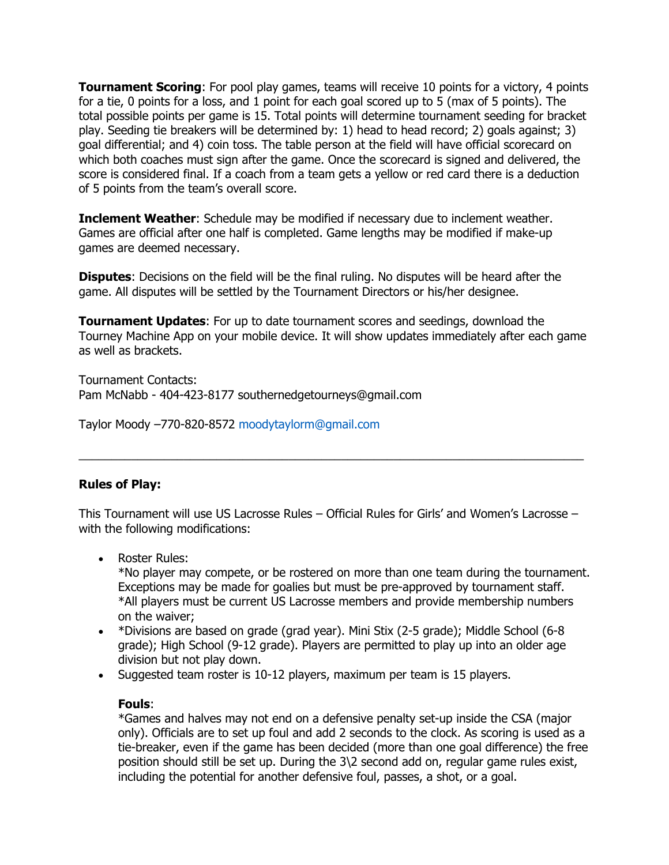**Tournament Scoring**: For pool play games, teams will receive 10 points for a victory, 4 points for a tie, 0 points for a loss, and 1 point for each goal scored up to 5 (max of 5 points). The total possible points per game is 15. Total points will determine tournament seeding for bracket play. Seeding tie breakers will be determined by: 1) head to head record; 2) goals against; 3) goal differential; and 4) coin toss. The table person at the field will have official scorecard on which both coaches must sign after the game. Once the scorecard is signed and delivered, the score is considered final. If a coach from a team gets a yellow or red card there is a deduction of 5 points from the team's overall score.

**Inclement Weather**: Schedule may be modified if necessary due to inclement weather. Games are official after one half is completed. Game lengths may be modified if make-up games are deemed necessary.

**Disputes**: Decisions on the field will be the final ruling. No disputes will be heard after the game. All disputes will be settled by the Tournament Directors or his/her designee.

**Tournament Updates**: For up to date tournament scores and seedings, download the Tourney Machine App on your mobile device. It will show updates immediately after each game as well as brackets.

Tournament Contacts: Pam McNabb - 404-423-8177 southernedgetourneys@gmail.com

Taylor Moody –770-820-8572 moodytaylorm@gmail.com

### **Rules of Play:**

This Tournament will use US Lacrosse Rules – Official Rules for Girls' and Women's Lacrosse – with the following modifications:

\_\_\_\_\_\_\_\_\_\_\_\_\_\_\_\_\_\_\_\_\_\_\_\_\_\_\_\_\_\_\_\_\_\_\_\_\_\_\_\_\_\_\_\_\_\_\_\_\_\_\_\_\_\_\_\_\_\_\_\_\_\_\_\_\_\_\_\_\_\_\_\_\_\_\_\_\_

• Roster Rules:

\*No player may compete, or be rostered on more than one team during the tournament. Exceptions may be made for goalies but must be pre-approved by tournament staff. \*All players must be current US Lacrosse members and provide membership numbers on the waiver;

- \*Divisions are based on grade (grad year). Mini Stix (2-5 grade); Middle School (6-8 grade); High School (9-12 grade). Players are permitted to play up into an older age division but not play down.
- Suggested team roster is 10-12 players, maximum per team is 15 players.

### **Fouls**:

\*Games and halves may not end on a defensive penalty set-up inside the CSA (major only). Officials are to set up foul and add 2 seconds to the clock. As scoring is used as a tie-breaker, even if the game has been decided (more than one goal difference) the free position should still be set up. During the 3\2 second add on, regular game rules exist, including the potential for another defensive foul, passes, a shot, or a goal.